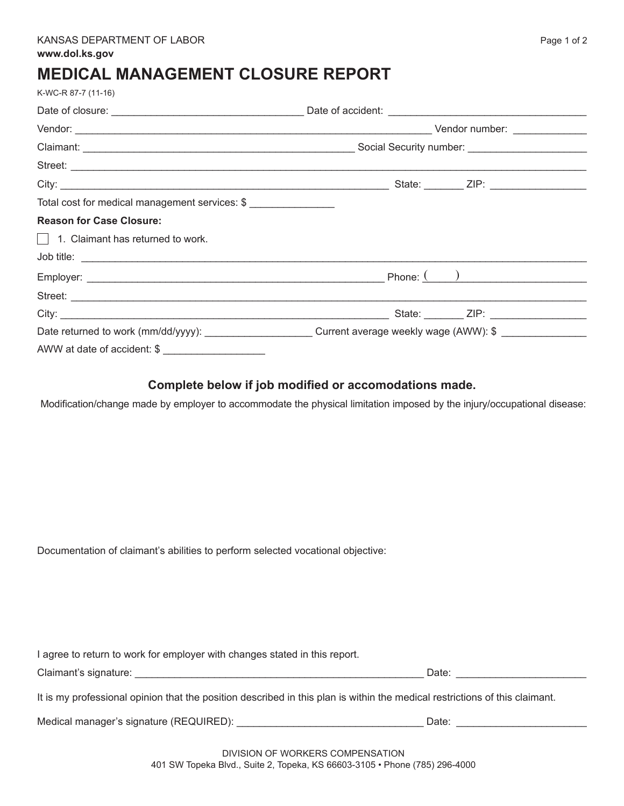## **MEDICAL MANAGEMENT CLOSURE REPORT**

| K-WC-R 87-7 (11-16)                                 |  |  |
|-----------------------------------------------------|--|--|
|                                                     |  |  |
|                                                     |  |  |
|                                                     |  |  |
|                                                     |  |  |
|                                                     |  |  |
| Total cost for medical management services: \$      |  |  |
| <b>Reason for Case Closure:</b>                     |  |  |
| $\Box$ 1. Claimant has returned to work.            |  |  |
|                                                     |  |  |
|                                                     |  |  |
|                                                     |  |  |
|                                                     |  |  |
|                                                     |  |  |
| AWW at date of accident: \$ _______________________ |  |  |

## **Complete below if job modified or accomodations made.**

Modification/change made by employer to accommodate the physical limitation imposed by the injury/occupational disease:

Documentation of claimant's abilities to perform selected vocational objective:

I agree to return to work for employer with changes stated in this report.

| Claimant's signature: | Jate |  |
|-----------------------|------|--|
|                       |      |  |

It is my professional opinion that the position described in this plan is within the medical restrictions of this claimant.

Medical manager's signature (REQUIRED): \_\_\_\_\_\_\_\_\_\_\_\_\_\_\_\_\_\_\_\_\_\_\_\_\_\_\_\_\_\_\_\_\_ Date: \_\_\_\_\_\_\_\_\_\_\_\_\_\_\_\_\_\_\_\_\_\_\_